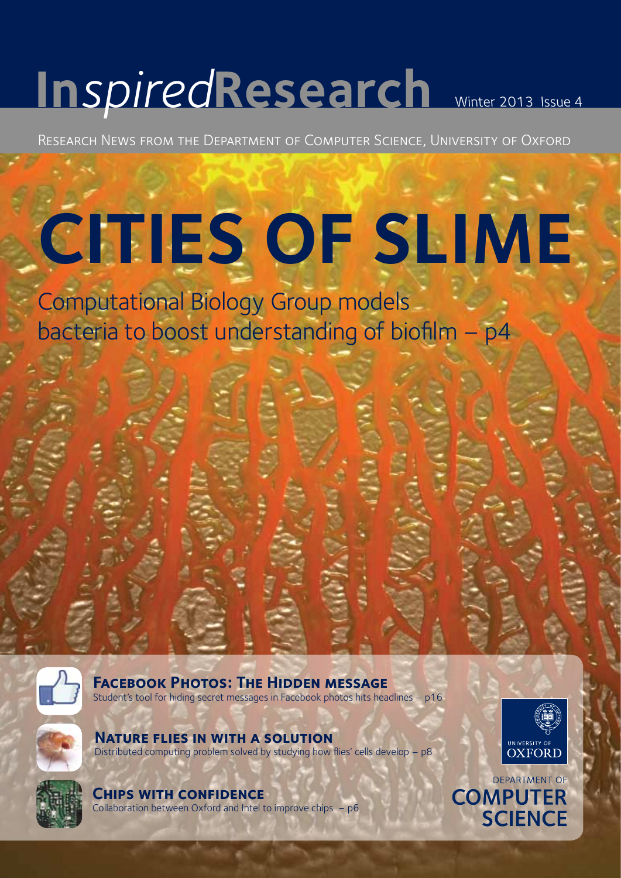# **In***spired***Research** Winter 2013 Issue 4

Research News from the Department of Computer Science, University of Oxford

# **CITIES OF SLIME**

Computational Biology Group models bacteria to boost understanding of biofilm – p4



**FACEBOOK PHOTOS: THE HIDDEN MESSAGE** Student's tool for hiding secret messages in Facebook photos hits headlines – p16

**Nature flies in with a solution**  Distributed computing problem solved by studying how flies' cells develop – p8





**Chips with confidence** 

Collaboration between Oxford and Intel to improve chips – p6

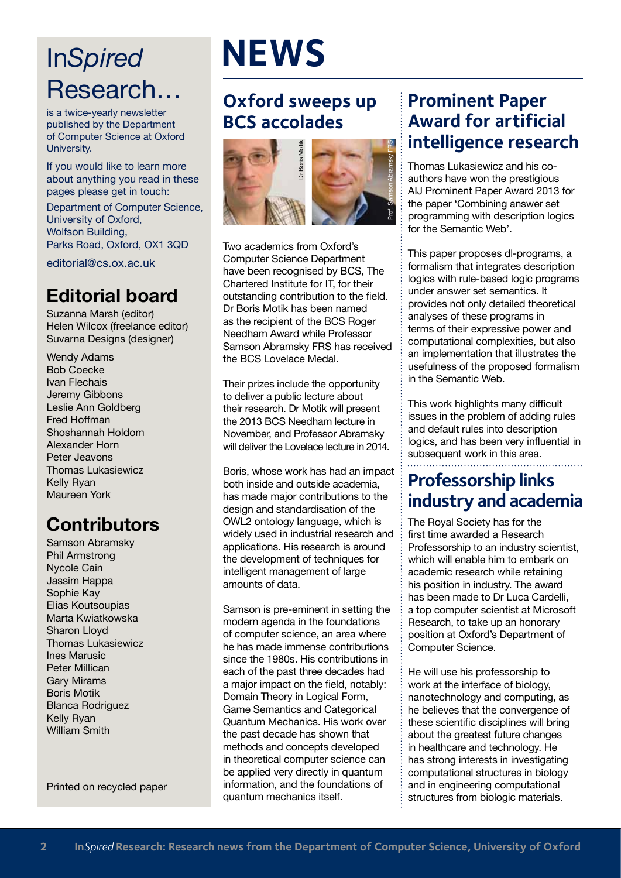# In*Spired* Research…

is a twice-yearly newsletter published by the Department of Computer Science at Oxford University.

If you would like to learn more about anything you read in these pages please get in touch:

Department of Computer Science, University of Oxford, Wolfson Building, Parks Road, Oxford, OX1 3QD

editorial@cs.ox.ac.uk

#### **Editorial board**

Suzanna Marsh (editor) Helen Wilcox (freelance editor) Suvarna Designs (designer)

Wendy Adams Bob Coecke Ivan Flechais Jeremy Gibbons Leslie Ann Goldberg Fred Hoffman Shoshannah Holdom Alexander Horn Peter Jeavons Thomas Lukasiewicz Kelly Ryan Maureen York

#### **Contributors**

Samson Abramsky Phil Armstrong Nycole Cain Jassim Happa Sophie Kay Elias Koutsoupias Marta Kwiatkowska Sharon Lloyd Thomas Lukasiewicz Ines Marusic Peter Millican Gary Mirams Boris Motik Blanca Rodriguez Kelly Ryan William Smith

Printed on recycled paper

# **NEWS**

#### **Oxford sweeps up BCS accolades**



Two academics from Oxford's Computer Science Department have been recognised by BCS, The Chartered Institute for IT, for their outstanding contribution to the field. Dr Boris Motik has been named as the recipient of the BCS Roger Needham Award while Professor Samson Abramsky FRS has received the BCS Lovelace Medal.

Their prizes include the opportunity to deliver a public lecture about their research. Dr Motik will present the 2013 BCS Needham lecture in November, and Professor Abramsky will deliver the Lovelace lecture in 2014.

Boris, whose work has had an impact both inside and outside academia, has made major contributions to the design and standardisation of the OWL2 ontology language, which is widely used in industrial research and applications. His research is around the development of techniques for intelligent management of large amounts of data.

Samson is pre-eminent in setting the modern agenda in the foundations of computer science, an area where he has made immense contributions since the 1980s. His contributions in each of the past three decades had a major impact on the field, notably: Domain Theory in Logical Form, Game Semantics and Categorical Quantum Mechanics. His work over the past decade has shown that methods and concepts developed in theoretical computer science can be applied very directly in quantum information, and the foundations of quantum mechanics itself.

#### **Prominent Paper Award for artificial intelligence research**

Thomas Lukasiewicz and his coauthors have won the prestigious AIJ Prominent Paper Award 2013 for the paper 'Combining answer set programming with description logics for the Semantic Web'.

This paper proposes dl-programs, a formalism that integrates description logics with rule-based logic programs under answer set semantics. It provides not only detailed theoretical analyses of these programs in terms of their expressive power and computational complexities, but also an implementation that illustrates the usefulness of the proposed formalism in the Semantic Web.

This work highlights many difficult issues in the problem of adding rules and default rules into description logics, and has been very influential in subsequent work in this area.

#### **Professorship links industry and academia**

The Royal Society has for the first time awarded a Research Professorship to an industry scientist, which will enable him to embark on academic research while retaining his position in industry. The award has been made to Dr Luca Cardelli, a top computer scientist at Microsoft Research, to take up an honorary position at Oxford's Department of Computer Science.

He will use his professorship to work at the interface of biology, nanotechnology and computing, as he believes that the convergence of these scientific disciplines will bring about the greatest future changes in healthcare and technology. He has strong interests in investigating computational structures in biology and in engineering computational structures from biologic materials.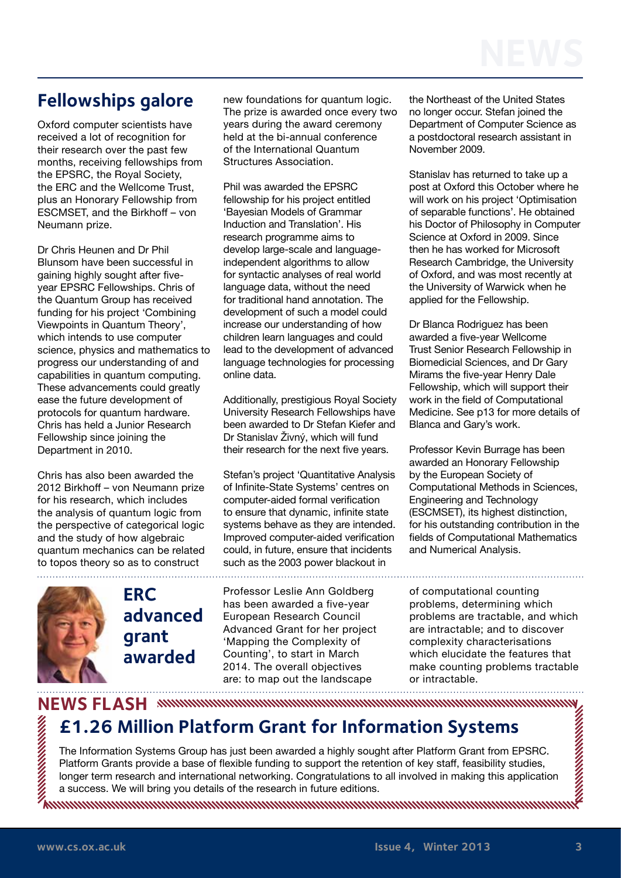#### **Fellowships galore**

Oxford computer scientists have received a lot of recognition for their research over the past few months, receiving fellowships from the EPSRC, the Royal Society, the ERC and the Wellcome Trust, plus an Honorary Fellowship from ESCMSET, and the Birkhoff – von Neumann prize.

Dr Chris Heunen and Dr Phil Blunsom have been successful in gaining highly sought after fiveyear EPSRC Fellowships. Chris of the Quantum Group has received funding for his project 'Combining Viewpoints in Quantum Theory', which intends to use computer science, physics and mathematics to progress our understanding of and capabilities in quantum computing. These advancements could greatly ease the future development of protocols for quantum hardware. Chris has held a Junior Research Fellowship since joining the Department in 2010.

Chris has also been awarded the 2012 Birkhoff – von Neumann prize for his research, which includes the analysis of quantum logic from the perspective of categorical logic and the study of how algebraic quantum mechanics can be related to topos theory so as to construct 

new foundations for quantum logic. The prize is awarded once every two years during the award ceremony held at the bi-annual conference of the International Quantum Structures Association.

Phil was awarded the EPSRC fellowship for his project entitled 'Bayesian Models of Grammar Induction and Translation'. His research programme aims to develop large-scale and languageindependent algorithms to allow for syntactic analyses of real world language data, without the need for traditional hand annotation. The development of such a model could increase our understanding of how children learn languages and could lead to the development of advanced language technologies for processing online data.

Additionally, prestigious Royal Society University Research Fellowships have been awarded to Dr Stefan Kiefer and Dr Stanislav Živný, which will fund their research for the next five years.

Stefan's project 'Quantitative Analysis of Infinite-State Systems' centres on computer-aided formal verification to ensure that dynamic, infinite state systems behave as they are intended. Improved computer-aided verification could, in future, ensure that incidents such as the 2003 power blackout in

Professor Leslie Ann Goldberg has been awarded a five-year European Research Council Advanced Grant for her project 'Mapping the Complexity of Counting', to start in March 2014. The overall objectives are: to map out the landscape

the Northeast of the United States no longer occur. Stefan joined the Department of Computer Science as a postdoctoral research assistant in November 2009.

Stanislav has returned to take up a post at Oxford this October where he will work on his project 'Optimisation of separable functions'. He obtained his Doctor of Philosophy in Computer Science at Oxford in 2009. Since then he has worked for Microsoft Research Cambridge, the University of Oxford, and was most recently at the University of Warwick when he applied for the Fellowship.

Dr Blanca Rodriguez has been awarded a five-year Wellcome Trust Senior Research Fellowship in Biomedicial Sciences, and Dr Gary Mirams the five-year Henry Dale Fellowship, which will support their work in the field of Computational Medicine. See p13 for more details of Blanca and Gary's work.

Professor Kevin Burrage has been awarded an Honorary Fellowship by the European Society of Computational Methods in Sciences, Engineering and Technology (ESCMSET), its highest distinction, for his outstanding contribution in the fields of Computational Mathematics and Numerical Analysis.

of computational counting problems, determining which problems are tractable, and which are intractable; and to discover complexity characterisations which elucidate the features that make counting problems tractable or intractable.



**ERC** 

**advanced** 

**£1.26 Million Platform Grant for Information Systems**

The Information Systems Group has just been awarded a highly sought after Platform Grant from EPSRC. Platform Grants provide a base of flexible funding to support the retention of key staff, feasibility studies, longer term research and international networking. Congratulations to all involved in making this application a success. We will bring you details of the research in future editions.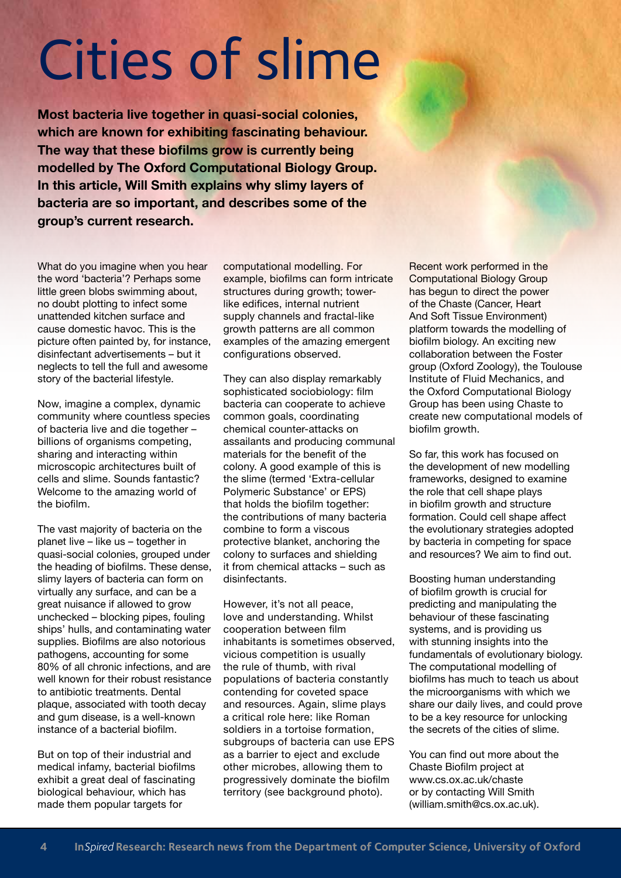# Cities of slime

**Most bacteria live together in quasi-social colonies, which are known for exhibiting fascinating behaviour. The way that these biofilms grow is currently being modelled by The Oxford Computational Biology Group. In this article, Will Smith explains why slimy layers of bacteria are so important, and describes some of the group's current research.**

What do you imagine when you hear the word 'bacteria'? Perhaps some little green blobs swimming about, no doubt plotting to infect some unattended kitchen surface and cause domestic havoc. This is the picture often painted by, for instance, disinfectant advertisements – but it neglects to tell the full and awesome story of the bacterial lifestyle.

Now, imagine a complex, dynamic community where countless species of bacteria live and die together – billions of organisms competing, sharing and interacting within microscopic architectures built of cells and slime. Sounds fantastic? Welcome to the amazing world of the biofilm.

The vast majority of bacteria on the planet live – like us – together in quasi-social colonies, grouped under the heading of biofilms. These dense, slimy layers of bacteria can form on virtually any surface, and can be a great nuisance if allowed to grow unchecked – blocking pipes, fouling ships' hulls, and contaminating water supplies. Biofilms are also notorious pathogens, accounting for some 80% of all chronic infections, and are well known for their robust resistance to antibiotic treatments. Dental plaque, associated with tooth decay and gum disease, is a well-known instance of a bacterial biofilm.

But on top of their industrial and medical infamy, bacterial biofilms exhibit a great deal of fascinating biological behaviour, which has made them popular targets for

computational modelling. For example, biofilms can form intricate structures during growth; towerlike edifices, internal nutrient supply channels and fractal-like growth patterns are all common examples of the amazing emergent configurations observed.

They can also display remarkably sophisticated sociobiology: film bacteria can cooperate to achieve common goals, coordinating chemical counter-attacks on assailants and producing communal materials for the benefit of the colony. A good example of this is the slime (termed 'Extra-cellular Polymeric Substance' or EPS) that holds the biofilm together: the contributions of many bacteria combine to form a viscous protective blanket, anchoring the colony to surfaces and shielding it from chemical attacks – such as disinfectants.

However, it's not all peace, love and understanding. Whilst cooperation between film inhabitants is sometimes observed, vicious competition is usually the rule of thumb, with rival populations of bacteria constantly contending for coveted space and resources. Again, slime plays a critical role here: like Roman soldiers in a tortoise formation, subgroups of bacteria can use EPS as a barrier to eject and exclude other microbes, allowing them to progressively dominate the biofilm territory (see background photo).

Recent work performed in the Computational Biology Group has begun to direct the power of the Chaste (Cancer, Heart And Soft Tissue Environment) platform towards the modelling of biofilm biology. An exciting new collaboration between the Foster group (Oxford Zoology), the Toulouse Institute of Fluid Mechanics, and the Oxford Computational Biology Group has been using Chaste to create new computational models of biofilm growth.

So far, this work has focused on the development of new modelling frameworks, designed to examine the role that cell shape plays in biofilm growth and structure formation. Could cell shape affect the evolutionary strategies adopted by bacteria in competing for space and resources? We aim to find out.

Boosting human understanding of biofilm growth is crucial for predicting and manipulating the behaviour of these fascinating systems, and is providing us with stunning insights into the fundamentals of evolutionary biology. The computational modelling of biofilms has much to teach us about the microorganisms with which we share our daily lives, and could prove to be a key resource for unlocking the secrets of the cities of slime.

You can find out more about the Chaste Biofilm project at [www.cs.ox.ac.uk/chaste](http://www.cs.ox.ac.uk/chaste)  or by contacting Will Smith (william.smith@cs.ox.ac.uk).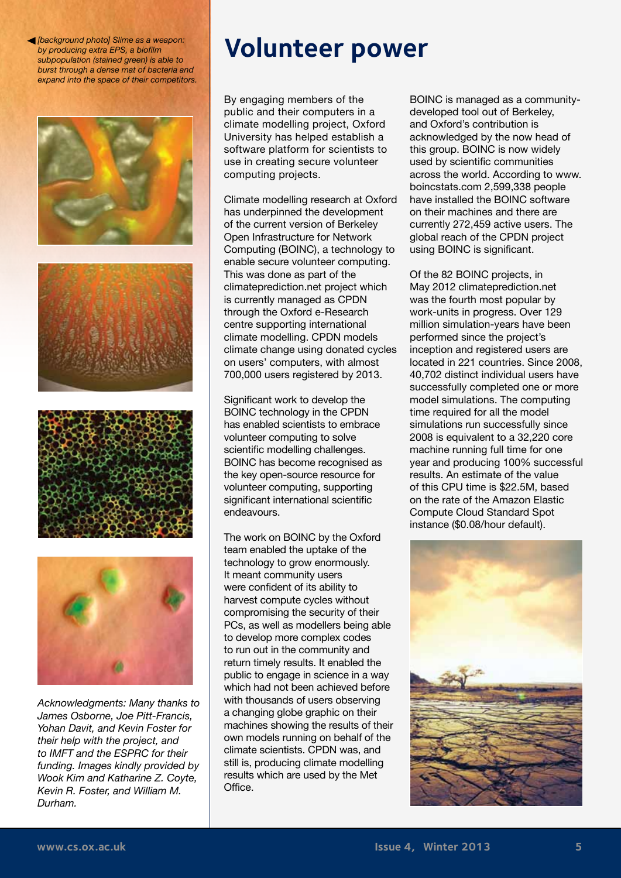*[background photo] Slime as a weapon: by producing extra EPS, a biofilm subpopulation (stained green) is able to burst through a dense mat of bacteria and expand into the space of their competitors.*





*Acknowledgments: Many thanks to James Osborne, Joe Pitt-Francis, Yohan Davit, and Kevin Foster for their help with the project, and to IMFT and the ESPRC for their funding. Images kindly provided by Wook Kim and Katharine Z. Coyte, Kevin R. Foster, and William M. Durham.*

# **Volunteer power**

By engaging members of the public and their computers in a climate modelling project, Oxford University has helped establish a software platform for scientists to use in creating secure volunteer computing projects.

Climate modelling research at Oxford has underpinned the development of the current version of Berkeley Open Infrastructure for Network Computing (BOINC), a technology to enable secure volunteer computing. This was done as part of the climateprediction.net project which is currently managed as CPDN through the Oxford e-Research centre supporting international climate modelling. CPDN models climate change using donated cycles on users' computers, with almost 700,000 users registered by 2013.

Significant work to develop the BOINC technology in the CPDN has enabled scientists to embrace volunteer computing to solve scientific modelling challenges. BOINC has become recognised as the key open-source resource for volunteer computing, supporting significant international scientific endeavours.

The work on BOINC by the Oxford team enabled the uptake of the technology to grow enormously. It meant community users were confident of its ability to harvest compute cycles without compromising the security of their PCs, as well as modellers being able to develop more complex codes to run out in the community and return timely results. It enabled the public to engage in science in a way which had not been achieved before with thousands of users observing a changing globe graphic on their machines showing the results of their own models running on behalf of the climate scientists. CPDN was, and still is, producing climate modelling results which are used by the Met Office.

BOINC is managed as a communitydeveloped tool out of Berkeley, and Oxford's contribution is acknowledged by the now head of this group. BOINC is now widely used by scientific communities across the world. According to www. boincstats.com 2,599,338 people have installed the BOINC software on their machines and there are currently 272,459 active users. The global reach of the CPDN project using BOINC is significant.

Of the 82 BOINC projects, in May 2012 climateprediction.net was the fourth most popular by work-units in progress. Over 129 million simulation-years have been performed since the project's inception and registered users are located in 221 countries. Since 2008, 40,702 distinct individual users have successfully completed one or more model simulations. The computing time required for all the model simulations run successfully since 2008 is equivalent to a 32,220 core machine running full time for one year and producing 100% successful results. An estimate of the value of this CPU time is \$22.5M, based on the rate of the Amazon Elastic Compute Cloud Standard Spot instance (\$0.08/hour default).

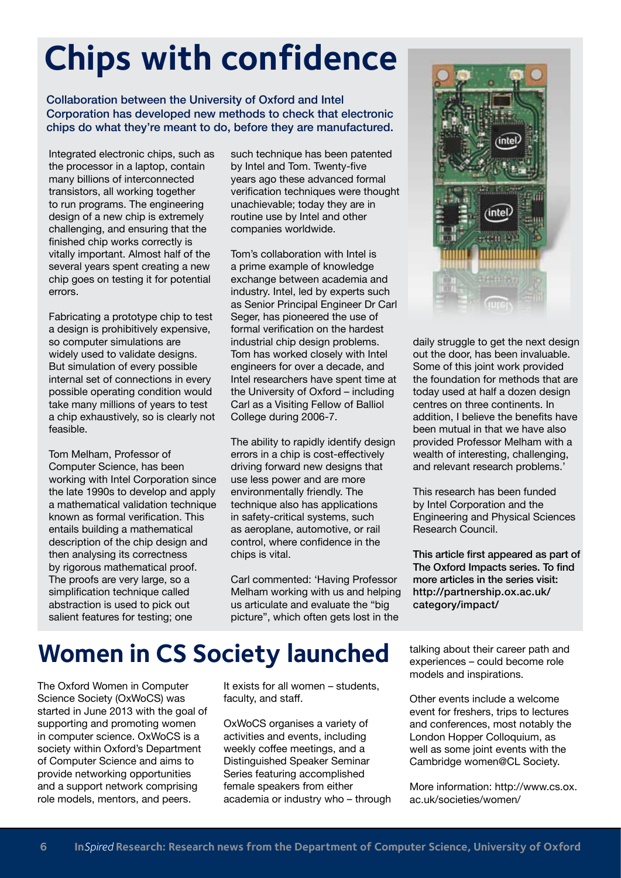# **Chips with confidence**

Collaboration between the University of Oxford and Intel Corporation has developed new methods to check that electronic chips do what they're meant to do, before they are manufactured.

Integrated electronic chips, such as the processor in a laptop, contain many billions of interconnected transistors, all working together to run programs. The engineering design of a new chip is extremely challenging, and ensuring that the finished chip works correctly is vitally important. Almost half of the several years spent creating a new chip goes on testing it for potential errors.

Fabricating a prototype chip to test a design is prohibitively expensive, so computer simulations are widely used to validate designs. But simulation of every possible internal set of connections in every possible operating condition would take many millions of years to test a chip exhaustively, so is clearly not feasible.

Tom Melham, Professor of Computer Science, has been working with Intel Corporation since the late 1990s to develop and apply a mathematical validation technique known as formal verification. This entails building a mathematical description of the chip design and then analysing its correctness by rigorous mathematical proof. The proofs are very large, so a simplification technique called abstraction is used to pick out salient features for testing; one

such technique has been patented by Intel and Tom. Twenty-five years ago these advanced formal verification techniques were thought unachievable; today they are in routine use by Intel and other companies worldwide.

Tom's collaboration with Intel is a prime example of knowledge exchange between academia and industry. Intel, led by experts such as Senior Principal Engineer Dr Carl Seger, has pioneered the use of formal verification on the hardest industrial chip design problems. Tom has worked closely with Intel engineers for over a decade, and Intel researchers have spent time at the University of Oxford – including Carl as a Visiting Fellow of Balliol College during 2006-7.

The ability to rapidly identify design errors in a chip is cost-effectively driving forward new designs that use less power and are more environmentally friendly. The technique also has applications in safety-critical systems, such as aeroplane, automotive, or rail control, where confidence in the chips is vital.

Carl commented: 'Having Professor Melham working with us and helping us articulate and evaluate the "big picture", which often gets lost in the



daily struggle to get the next design out the door, has been invaluable. Some of this joint work provided the foundation for methods that are today used at half a dozen design centres on three continents. In addition, I believe the benefits have been mutual in that we have also provided Professor Melham with a wealth of interesting, challenging, and relevant research problems.'

This research has been funded by Intel Corporation and the Engineering and Physical Sciences Research Council.

This article first appeared as part of The Oxford Impacts series. To find more articles in the series visit: http:/[/partnership.ox.ac.uk/](http:///partnership.ox.ac.uk/category/impact/) [category/impact/](http:///partnership.ox.ac.uk/category/impact/)

## **Women in CS Society launched**

The Oxford Women in Computer Science Society (OxWoCS) was started in June 2013 with the goal of supporting and promoting women in computer science. OxWoCS is a society within Oxford's Department of Computer Science and aims to provide networking opportunities and a support network comprising role models, mentors, and peers.

It exists for all women – students, faculty, and staff.

OxWoCS organises a variety of activities and events, including weekly coffee meetings, and a Distinguished Speaker Seminar Series featuring accomplished female speakers from either academia or industry who – through talking about their career path and experiences – could become role models and inspirations.

Other events include a welcome event for freshers, trips to lectures and conferences, most notably the London Hopper Colloquium, as well as some joint events with the Cambridge women@CL Society.

More information: [http://www.cs.ox.](http://www.cs.ox.ac.uk/societies/women/) [ac.uk/societies/women](http://www.cs.ox.ac.uk/societies/women/)/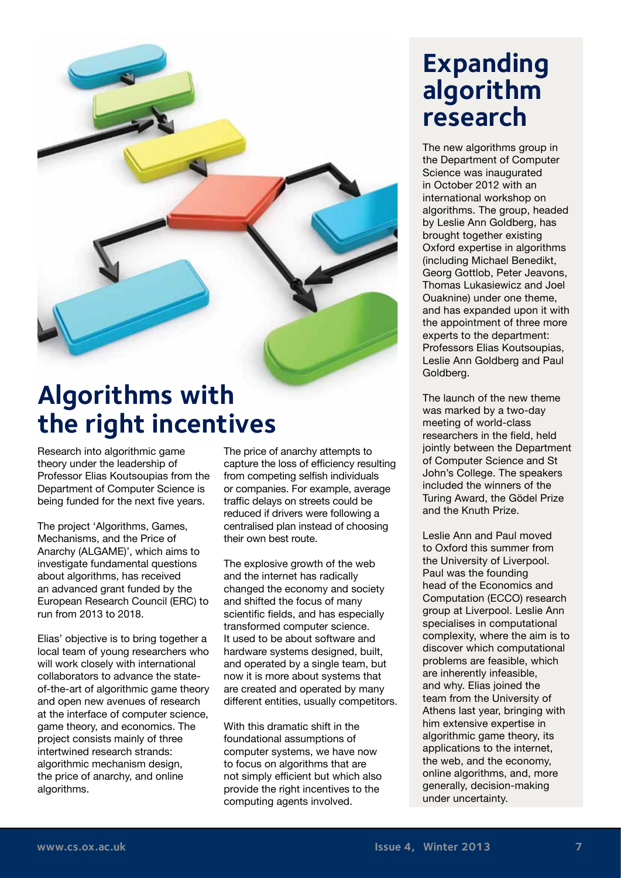

# **Algorithms with the right incentives**

Research into algorithmic game theory under the leadership of Professor Elias Koutsoupias from the Department of Computer Science is being funded for the next five years.

The project 'Algorithms, Games, Mechanisms, and the Price of Anarchy (ALGAME)', which aims to investigate fundamental questions about algorithms, has received an advanced grant funded by the European Research Council (ERC) to run from 2013 to 2018.

Elias' objective is to bring together a local team of young researchers who will work closely with international collaborators to advance the stateof-the-art of algorithmic game theory and open new avenues of research at the interface of computer science, game theory, and economics. The project consists mainly of three intertwined research strands: algorithmic mechanism design. the price of anarchy, and online algorithms.

The price of anarchy attempts to capture the loss of efficiency resulting from competing selfish individuals or companies. For example, average traffic delays on streets could be reduced if drivers were following a centralised plan instead of choosing their own best route.

The explosive growth of the web and the internet has radically changed the economy and society and shifted the focus of many scientific fields, and has especially transformed computer science. It used to be about software and hardware systems designed, built, and operated by a single team, but now it is more about systems that are created and operated by many different entities, usually competitors.

With this dramatic shift in the foundational assumptions of computer systems, we have now to focus on algorithms that are not simply efficient but which also provide the right incentives to the computing agents involved.

### **Expanding algorithm research**

The new algorithms group in the Department of Computer Science was inaugurated in October 2012 with an international workshop on algorithms. The group, headed by Leslie Ann Goldberg, has brought together existing Oxford expertise in algorithms (including Michael Benedikt, Georg Gottlob, Peter Jeavons, Thomas Lukasiewicz and Joel Ouaknine) under one theme, and has expanded upon it with the appointment of three more experts to the department: Professors Elias Koutsoupias, Leslie Ann Goldberg and Paul Goldberg.

The launch of the new theme was marked by a two-day meeting of world-class researchers in the field, held jointly between the Department of Computer Science and St John's College. The speakers included the winners of the Turing Award, the Gödel Prize and the Knuth Prize.

Leslie Ann and Paul moved to Oxford this summer from the University of Liverpool. Paul was the founding head of the Economics and Computation (ECCO) research group at Liverpool. Leslie Ann specialises in computational complexity, where the aim is to discover which computational problems are feasible, which are inherently infeasible, and why. Elias joined the team from the University of Athens last year, bringing with him extensive expertise in algorithmic game theory, its applications to the internet, the web, and the economy, online algorithms, and, more generally, decision-making under uncertainty.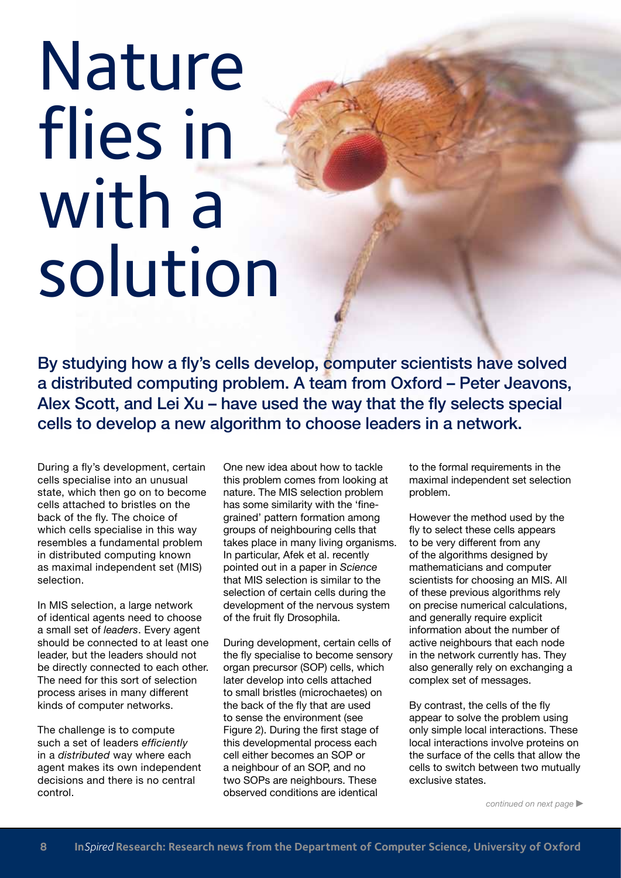# Nature flies in with a solution

By studying how a fly's cells develop, computer scientists have solved a distributed computing problem. A team from Oxford – Peter Jeavons, Alex Scott, and Lei Xu – have used the way that the fly selects special cells to develop a new algorithm to choose leaders in a network.

During a fly's development, certain cells specialise into an unusual state, which then go on to become cells attached to bristles on the back of the fly. The choice of which cells specialise in this way resembles a fundamental problem in distributed computing known as maximal independent set (MIS) selection.

In MIS selection, a large network of identical agents need to choose a small set of *leaders*. Every agent should be connected to at least one leader, but the leaders should not be directly connected to each other. The need for this sort of selection process arises in many different kinds of computer networks.

The challenge is to compute such a set of leaders *efficiently* in a *distributed* way where each agent makes its own independent decisions and there is no central control.

One new idea about how to tackle this problem comes from looking at nature. The MIS selection problem has some similarity with the 'finegrained' pattern formation among groups of neighbouring cells that takes place in many living organisms. In particular, Afek et al. recently pointed out in a paper in *Science* that MIS selection is similar to the selection of certain cells during the development of the nervous system of the fruit fly Drosophila.

During development, certain cells of the fly specialise to become sensory organ precursor (SOP) cells, which later develop into cells attached to small bristles (microchaetes) on the back of the fly that are used to sense the environment (see Figure 2). During the first stage of this developmental process each cell either becomes an SOP or a neighbour of an SOP, and no two SOPs are neighbours. These observed conditions are identical

to the formal requirements in the maximal independent set selection problem.

However the method used by the fly to select these cells appears to be very different from any of the algorithms designed by mathematicians and computer scientists for choosing an MIS. All of these previous algorithms rely on precise numerical calculations, and generally require explicit information about the number of active neighbours that each node in the network currently has. They also generally rely on exchanging a complex set of messages.

By contrast, the cells of the fly appear to solve the problem using only simple local interactions. These local interactions involve proteins on the surface of the cells that allow the cells to switch between two mutually exclusive states.

*continued on next page*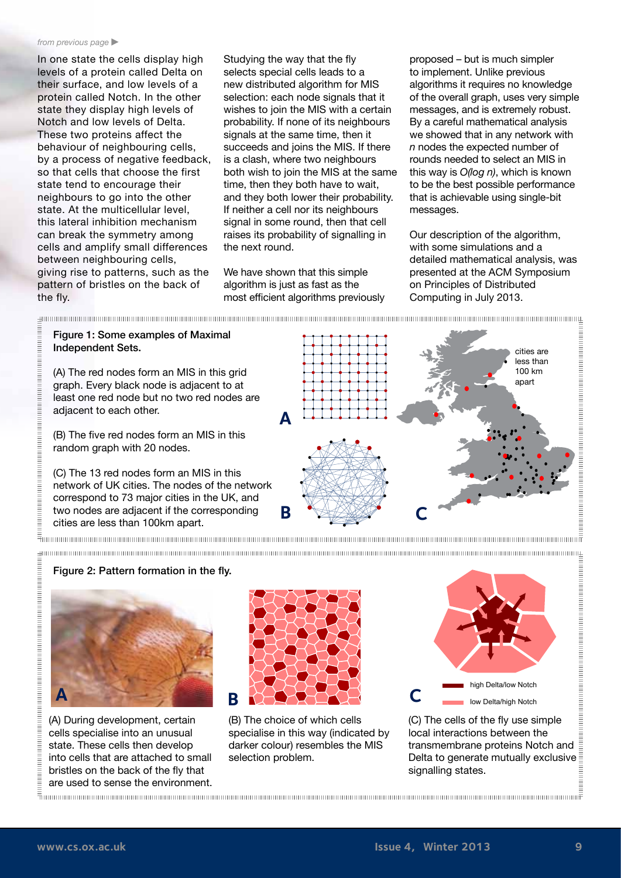#### *from previous page*

In one state the cells display high levels of a protein called Delta on their surface, and low levels of a protein called Notch. In the other state they display high levels of Notch and low levels of Delta. These two proteins affect the behaviour of neighbouring cells, by a process of negative feedback, so that cells that choose the first state tend to encourage their neighbours to go into the other state. At the multicellular level, this lateral inhibition mechanism can break the symmetry among cells and amplify small differences between neighbouring cells, giving rise to patterns, such as the pattern of bristles on the back of the fly.

Studying the way that the fly selects special cells leads to a new distributed algorithm for MIS selection: each node signals that it wishes to join the MIS with a certain probability. If none of its neighbours signals at the same time, then it succeeds and joins the MIS. If there is a clash, where two neighbours both wish to join the MIS at the same time, then they both have to wait, and they both lower their probability. If neither a cell nor its neighbours signal in some round, then that cell raises its probability of signalling in the next round.

We have shown that this simple algorithm is just as fast as the most efficient algorithms previously

proposed – but is much simpler to implement. Unlike previous algorithms it requires no knowledge of the overall graph, uses very simple messages, and is extremely robust. By a careful mathematical analysis we showed that in any network with *n* nodes the expected number of rounds needed to select an MIS in this way is *O(log n)*, which is known to be the best possible performance that is achievable using single-bit messages.

Our description of the algorithm, with some simulations and a detailed mathematical analysis, was presented at the ACM Symposium on Principles of Distributed Computing in July 2013.



Figure 2: Pattern formation in the fly.

Figure 1: Some examples of Maximal



(A) During development, certain cells specialise into an unusual state. These cells then develop into cells that are attached to small bristles on the back of the fly that are used to sense the environment.



(B) The choice of which cells specialise in this way (indicated by darker colour) resembles the MIS selection problem.



(C) The cells of the fly use simple local interactions between the transmembrane proteins Notch and Delta to generate mutually exclusive signalling states.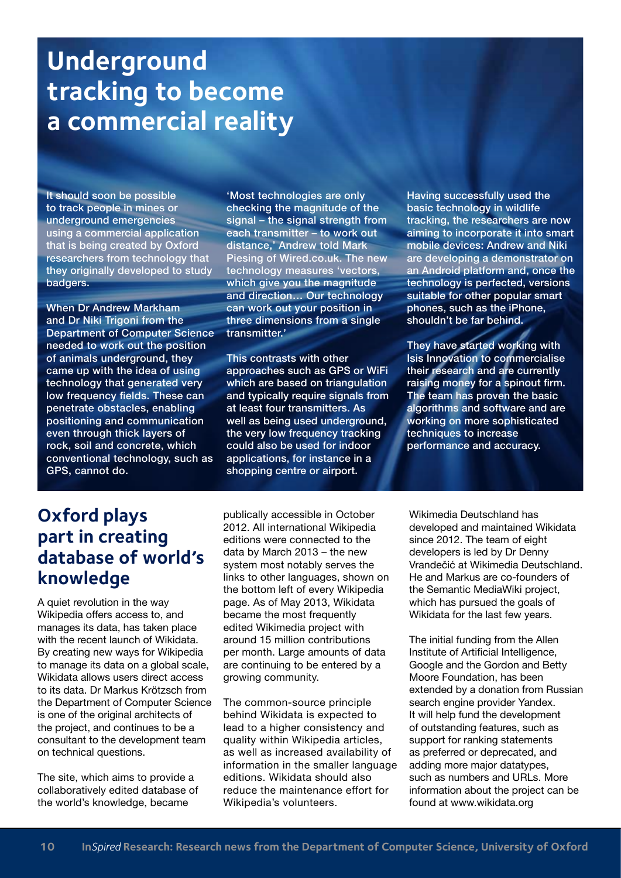# **Underground tracking to become a commercial reality**

It should soon be possible to track people in mines or underground emergencies using a commercial application that is being created by Oxford researchers from technology that they originally developed to study badgers.

When Dr Andrew Markham and Dr Niki Trigoni from the Department of Computer Science needed to work out the position of animals underground, they came up with the idea of using technology that generated very low frequency fields. These can penetrate obstacles, enabling positioning and communication even through thick layers of rock, soil and concrete, which conventional technology, such as GPS, cannot do.

'Most technologies are only checking the magnitude of the signal – the signal strength from each transmitter – to work out distance,' Andrew told Mark Piesing of Wired.co.uk. The new technology measures 'vectors, which give you the magnitude and direction… Our technology can work out your position in three dimensions from a single transmitter.'

This contrasts with other approaches such as GPS or WiFi which are based on triangulation and typically require signals from at least four transmitters. As well as being used underground, the very low frequency tracking could also be used for indoor applications, for instance in a shopping centre or airport.

Having successfully used the basic technology in wildlife tracking, the researchers are now aiming to incorporate it into smart mobile devices: Andrew and Niki are developing a demonstrator on an Android platform and, once the technology is perfected, versions suitable for other popular smart phones, such as the iPhone, shouldn't be far behind.

They have started working with Isis Innovation to commercialise their research and are currently raising money for a spinout firm. The team has proven the basic algorithms and software and are working on more sophisticated techniques to increase performance and accuracy.

#### **Oxford plays part in creating database of world's knowledge**

A quiet revolution in the way Wikipedia offers access to, and manages its data, has taken place with the recent launch of Wikidata. By creating new ways for Wikipedia to manage its data on a global scale, Wikidata allows users direct access to its data. Dr Markus Krötzsch from the Department of Computer Science is one of the original architects of the project, and continues to be a consultant to the development team on technical questions.

The site, which aims to provide a collaboratively edited database of the world's knowledge, became

publically accessible in October 2012. All international Wikipedia editions were connected to the data by March 2013 – the new system most notably serves the links to other languages, shown on the bottom left of every Wikipedia page. As of May 2013, Wikidata became the most frequently edited Wikimedia project with around 15 million contributions per month. Large amounts of data are continuing to be entered by a growing community.

The common-source principle behind Wikidata is expected to lead to a higher consistency and quality within Wikipedia articles, as well as increased availability of information in the smaller language editions. Wikidata should also reduce the maintenance effort for Wikipedia's volunteers.

Wikimedia Deutschland has developed and maintained Wikidata since 2012. The team of eight developers is led by Dr Denny Vrandečić at Wikimedia Deutschland. He and Markus are co-founders of the Semantic MediaWiki project, which has pursued the goals of Wikidata for the last few years.

The initial funding from the Allen Institute of Artificial Intelligence, Google and the Gordon and Betty Moore Foundation, has been extended by a donation from Russian search engine provider Yandex. It will help fund the development of outstanding features, such as support for ranking statements as preferred or deprecated, and adding more major datatypes, such as numbers and URLs. More information about the project can be found at [www.wikidata.org](http://www.wikidata.org)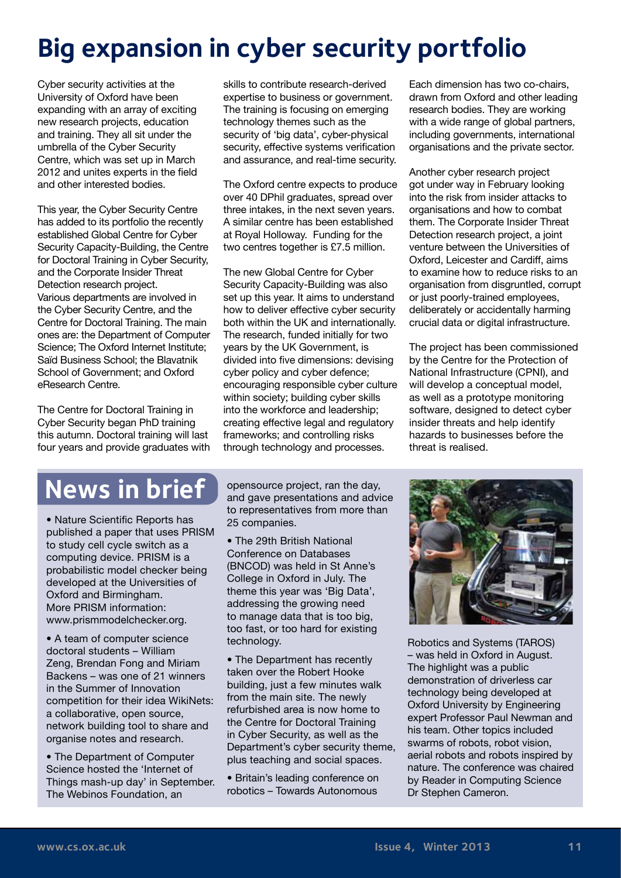# **Big expansion in cyber security portfolio**

Cyber security activities at the University of Oxford have been expanding with an array of exciting new research projects, education and training. They all sit under the umbrella of the Cyber Security Centre, which was set up in March 2012 and unites experts in the field and other interested bodies.

This year, the Cyber Security Centre has added to its portfolio the recently established Global Centre for Cyber Security Capacity-Building, the Centre for Doctoral Training in Cyber Security, and the Corporate Insider Threat Detection research project. Various departments are involved in the Cyber Security Centre, and the Centre for Doctoral Training. The main ones are: the Department of Computer Science; The Oxford Internet Institute; Saïd Business School; the Blavatnik School of Government; and Oxford eResearch Centre.

The Centre for Doctoral Training in Cyber Security began PhD training this autumn. Doctoral training will last four years and provide graduates with skills to contribute research-derived expertise to business or government. The training is focusing on emerging technology themes such as the security of 'big data', cyber-physical security, effective systems verification and assurance, and real-time security.

The Oxford centre expects to produce over 40 DPhil graduates, spread over three intakes, in the next seven years. A similar centre has been established at Royal Holloway. Funding for the two centres together is £7.5 million.

The new Global Centre for Cyber Security Capacity-Building was also set up this year. It aims to understand how to deliver effective cyber security both within the UK and internationally. The research, funded initially for two years by the UK Government, is divided into five dimensions: devising cyber policy and cyber defence; encouraging responsible cyber culture within society; building cyber skills into the workforce and leadership; creating effective legal and regulatory frameworks; and controlling risks through technology and processes.

Each dimension has two co-chairs, drawn from Oxford and other leading research bodies. They are working with a wide range of global partners, including governments, international organisations and the private sector.

Another cyber research project got under way in February looking into the risk from insider attacks to organisations and how to combat them. The Corporate Insider Threat Detection research project, a joint venture between the Universities of Oxford, Leicester and Cardiff, aims to examine how to reduce risks to an organisation from disgruntled, corrupt or just poorly-trained employees, deliberately or accidentally harming crucial data or digital infrastructure.

The project has been commissioned by the Centre for the Protection of National Infrastructure (CPNI), and will develop a conceptual model, as well as a prototype monitoring software, designed to detect cyber insider threats and help identify hazards to businesses before the threat is realised.

### **News in brief**

• Nature Scientific Reports has published a paper that uses PRISM to study cell cycle switch as a computing device. PRISM is a probabilistic model checker being developed at the Universities of Oxford and Birmingham. More PRISM information: www.prismmodelchecker.org.

• A team of computer science doctoral students – William Zeng, Brendan Fong and Miriam Backens – was one of 21 winners in the Summer of Innovation competition for their idea WikiNets: a collaborative, open source, network building tool to share and organise notes and research.

• The Department of Computer Science hosted the 'Internet of Things mash-up day' in September. The Webinos Foundation, an

opensource project, ran the day, and gave presentations and advice to representatives from more than 25 companies.

• The 29th British National Conference on Databases (BNCOD) was held in St Anne's College in Oxford in July. The theme this year was 'Big Data', addressing the growing need to manage data that is too big, too fast, or too hard for existing technology.

• The Department has recently taken over the Robert Hooke building, just a few minutes walk from the main site. The newly refurbished area is now home to the Centre for Doctoral Training in Cyber Security, as well as the Department's cyber security theme, plus teaching and social spaces.

• Britain's leading conference on robotics – Towards Autonomous



Robotics and Systems (TAROS) – was held in Oxford in August. The highlight was a public demonstration of driverless car technology being developed at Oxford University by Engineering expert Professor Paul Newman and his team. Other topics included swarms of robots, robot vision, aerial robots and robots inspired by nature. The conference was chaired by Reader in Computing Science Dr Stephen Cameron.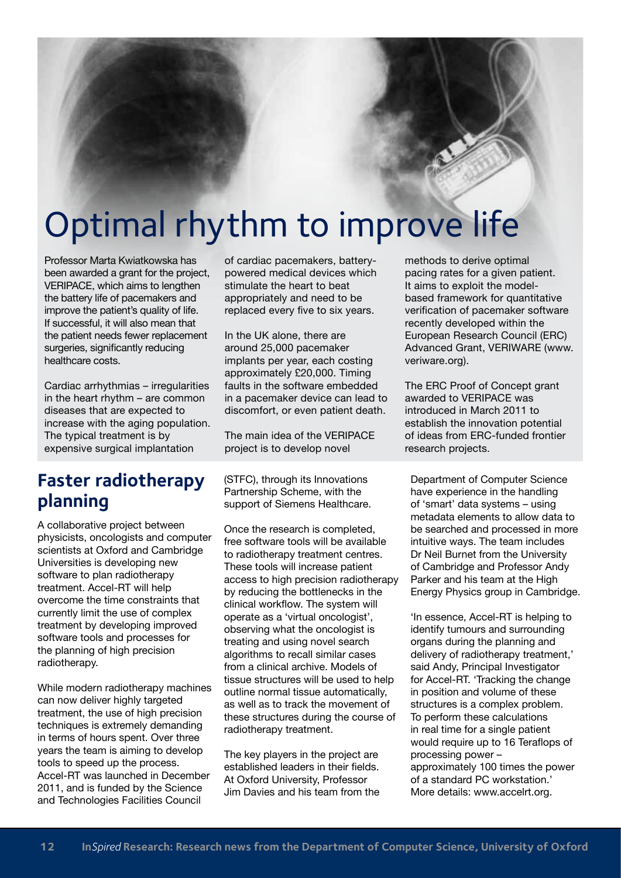# Optimal rhythm to improve life

Professor Marta Kwiatkowska has been awarded a grant for the project, VERIPACE, which aims to lengthen the battery life of pacemakers and improve the patient's quality of life. If successful, it will also mean that the patient needs fewer replacement surgeries, significantly reducing healthcare costs.

Cardiac arrhythmias – irregularities in the heart rhythm – are common diseases that are expected to increase with the aging population. The typical treatment is by expensive surgical implantation

#### **Faster radiotherapy planning**

A collaborative project between physicists, oncologists and computer scientists at Oxford and Cambridge Universities is developing new software to plan radiotherapy treatment. Accel-RT will help overcome the time constraints that currently limit the use of complex treatment by developing improved software tools and processes for the planning of high precision radiotherapy.

While modern radiotherapy machines can now deliver highly targeted treatment, the use of high precision techniques is extremely demanding in terms of hours spent. Over three years the team is aiming to develop tools to speed up the process. Accel-RT was launched in December 2011, and is funded by the Science and Technologies Facilities Council

of cardiac pacemakers, batterypowered medical devices which stimulate the heart to beat appropriately and need to be replaced every five to six years.

In the UK alone, there are around 25,000 pacemaker implants per year, each costing approximately £20,000. Timing faults in the software embedded in a pacemaker device can lead to discomfort, or even patient death.

The main idea of the VERIPACE project is to develop novel

(STFC), through its Innovations Partnership Scheme, with the support of Siemens Healthcare.

Once the research is completed, free software tools will be available to radiotherapy treatment centres. These tools will increase patient access to high precision radiotherapy by reducing the bottlenecks in the clinical workflow. The system will operate as a 'virtual oncologist', observing what the oncologist is treating and using novel search algorithms to recall similar cases from a clinical archive. Models of tissue structures will be used to help outline normal tissue automatically, as well as to track the movement of these structures during the course of radiotherapy treatment.

The key players in the project are established leaders in their fields. At Oxford University, Professor Jim Davies and his team from the methods to derive optimal pacing rates for a given patient. It aims to exploit the modelbased framework for quantitative verification of pacemaker software recently developed within the European Research Council (ERC) Advanced Grant, VERIWARE ([www.](http://www.veriware.org) [veriware.org](http://www.veriware.org)).

The ERC Proof of Concept grant awarded to VERIPACE was introduced in March 2011 to establish the innovation potential of ideas from ERC-funded frontier research projects.

Department of Computer Science have experience in the handling of 'smart' data systems – using metadata elements to allow data to be searched and processed in more intuitive ways. The team includes Dr Neil Burnet from the University of Cambridge and Professor Andy Parker and his team at the High Energy Physics group in Cambridge.

'In essence, Accel-RT is helping to identify tumours and surrounding organs during the planning and delivery of radiotherapy treatment,' said Andy, Principal Investigator for Accel-RT. 'Tracking the change in position and volume of these structures is a complex problem. To perform these calculations in real time for a single patient would require up to 16 Teraflops of processing power – approximately 100 times the power of a standard PC workstation.' More details: [www.accelrt.org.](http://www.accelrt.org)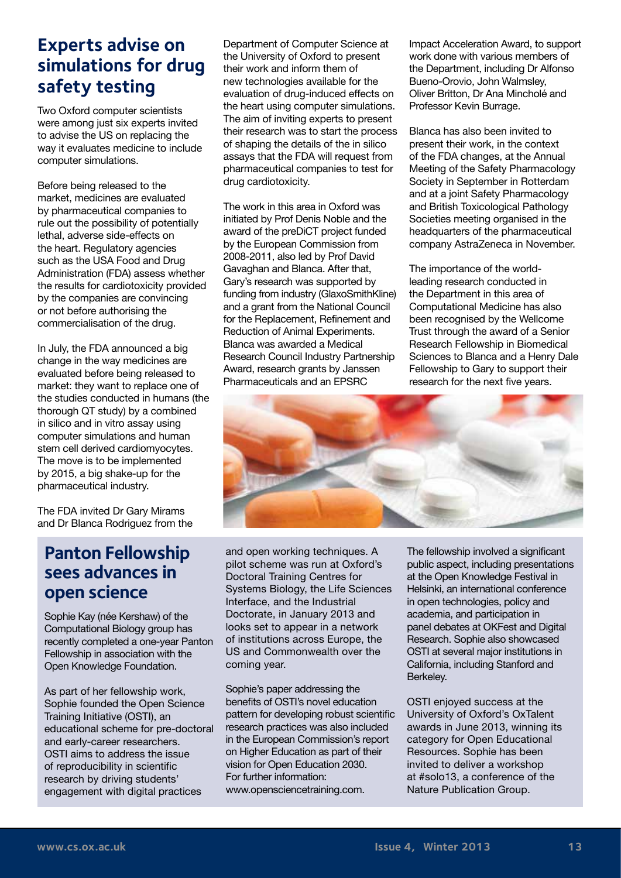#### **Experts advise on simulations for drug safety testing**

Two Oxford computer scientists were among just six experts invited to advise the US on replacing the way it evaluates medicine to include computer simulations.

Before being released to the market, medicines are evaluated by pharmaceutical companies to rule out the possibility of potentially lethal, adverse side-effects on the heart. Regulatory agencies such as the USA Food and Drug Administration (FDA) assess whether the results for cardiotoxicity provided by the companies are convincing or not before authorising the commercialisation of the drug.

In July, the FDA announced a big change in the way medicines are evaluated before being released to market: they want to replace one of the studies conducted in humans (the thorough QT study) by a combined in silico and in vitro assay using computer simulations and human stem cell derived cardiomyocytes. The move is to be implemented by 2015, a big shake-up for the pharmaceutical industry.

The FDA invited Dr Gary Mirams and Dr Blanca Rodriguez from the

#### **Panton Fellowship sees advances in open science**

Sophie Kay (née Kershaw) of the Computational Biology group has recently completed a one-year Panton Fellowship in association with the Open Knowledge Foundation.

As part of her fellowship work, Sophie founded the Open Science Training Initiative (OSTI), an educational scheme for pre-doctoral and early-career researchers. OSTI aims to address the issue of reproducibility in scientific research by driving students' engagement with digital practices

Department of Computer Science at the University of Oxford to present their work and inform them of new technologies available for the evaluation of drug-induced effects on the heart using computer simulations. The aim of inviting experts to present their research was to start the process of shaping the details of the in silico assays that the FDA will request from pharmaceutical companies to test for drug cardiotoxicity.

The work in this area in Oxford was initiated by Prof Denis Noble and the award of the preDiCT project funded by the European Commission from 2008-2011, also led by Prof David Gavaghan and Blanca. After that, Gary's research was supported by funding from industry (GlaxoSmithKline) and a grant from the National Council for the Replacement, Refinement and Reduction of Animal Experiments. Blanca was awarded a Medical Research Council Industry Partnership Award, research grants by Janssen Pharmaceuticals and an EPSRC

Impact Acceleration Award, to support work done with various members of the Department, including Dr Alfonso Bueno-Orovio, John Walmsley, Oliver Britton, Dr Ana Mincholé and Professor Kevin Burrage.

Blanca has also been invited to present their work, in the context of the FDA changes, at the Annual Meeting of the Safety Pharmacology Society in September in Rotterdam and at a joint Safety Pharmacology and British Toxicological Pathology Societies meeting organised in the headquarters of the pharmaceutical company AstraZeneca in November.

The importance of the worldleading research conducted in the Department in this area of Computational Medicine has also been recognised by the Wellcome Trust through the award of a Senior Research Fellowship in Biomedical Sciences to Blanca and a Henry Dale Fellowship to Gary to support their research for the next five years.



and open working techniques. A pilot scheme was run at Oxford's Doctoral Training Centres for Systems Biology, the Life Sciences Interface, and the Industrial Doctorate, in January 2013 and looks set to appear in a network of institutions across Europe, the US and Commonwealth over the coming year.

Sophie's paper addressing the benefits of OSTI's novel education pattern for developing robust scientific research practices was also included in the European Commission's report on Higher Education as part of their vision for Open Education 2030. For further information: www.opensciencetraining.com.

The fellowship involved a significant public aspect, including presentations at the Open Knowledge Festival in Helsinki, an international conference in open technologies, policy and academia, and participation in panel debates at OKFest and Digital Research. Sophie also showcased OSTI at several major institutions in California, including Stanford and Berkeley.

OSTI enjoyed success at the University of Oxford's OxTalent awards in June 2013, winning its category for Open Educational Resources. Sophie has been invited to deliver a workshop at #solo13, a conference of the Nature Publication Group.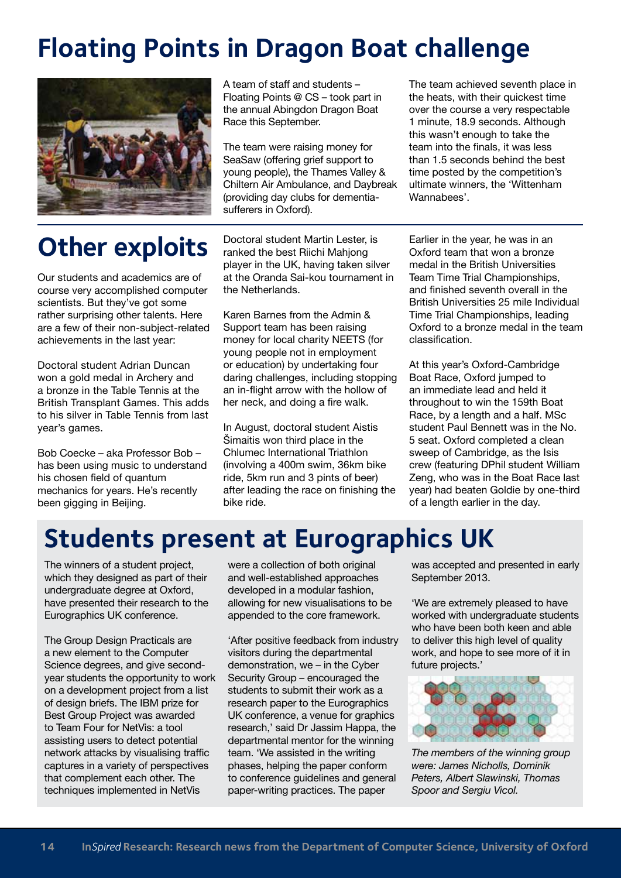# **Floating Points in Dragon Boat challenge**



A team of staff and students – Floating Points @ CS – took part in the annual Abingdon Dragon Boat Race this September.

The team were raising money for SeaSaw (offering grief support to young people), the Thames Valley & Chiltern Air Ambulance, and Daybreak (providing day clubs for dementiasufferers in Oxford).

The team achieved seventh place in the heats, with their quickest time over the course a very respectable 1 minute, 18.9 seconds. Although this wasn't enough to take the team into the finals, it was less than 1.5 seconds behind the best time posted by the competition's ultimate winners, the 'Wittenham Wannabees'

# **Other exploits**

Our students and academics are of course very accomplished computer scientists. But they've got some rather surprising other talents. Here are a few of their non-subject-related achievements in the last year:

Doctoral student Adrian Duncan won a gold medal in Archery and a bronze in the Table Tennis at the British Transplant Games. This adds to his silver in Table Tennis from last year's games.

Bob Coecke – aka Professor Bob – has been using music to understand his chosen field of quantum mechanics for years. He's recently been gigging in Beijing.

Doctoral student Martin Lester, is ranked the best Riichi Mahjong player in the UK, having taken silver at the Oranda Sai-kou tournament in the Netherlands.

Karen Barnes from the Admin & Support team has been raising money for local charity NEETS (for young people not in employment or education) by undertaking four daring challenges, including stopping an in-flight arrow with the hollow of her neck, and doing a fire walk.

In August, doctoral student Aistis Šimaitis won third place in the Chlumec International Triathlon (involving a 400m swim, 36km bike ride, 5km run and 3 pints of beer) after leading the race on finishing the bike ride.

Earlier in the year, he was in an Oxford team that won a bronze medal in the British Universities Team Time Trial Championships, and finished seventh overall in the British Universities 25 mile Individual Time Trial Championships, leading Oxford to a bronze medal in the team classification.

At this year's Oxford-Cambridge Boat Race, Oxford jumped to an immediate lead and held it throughout to win the 159th Boat Race, by a length and a half. MSc student Paul Bennett was in the No. 5 seat. Oxford completed a clean sweep of Cambridge, as the Isis crew (featuring DPhil student William Zeng, who was in the Boat Race last year) had beaten Goldie by one-third of a length earlier in the day.

### **Students present at Eurographics UK**

The winners of a student project, which they designed as part of their undergraduate degree at Oxford, have presented their research to the Eurographics UK conference.

The Group Design Practicals are a new element to the Computer Science degrees, and give secondyear students the opportunity to work on a development project from a list of design briefs. The IBM prize for Best Group Project was awarded to Team Four for NetVis: a tool assisting users to detect potential network attacks by visualising traffic captures in a variety of perspectives that complement each other. The techniques implemented in NetVis

were a collection of both original and well-established approaches developed in a modular fashion, allowing for new visualisations to be appended to the core framework.

'After positive feedback from industry visitors during the departmental demonstration, we – in the Cyber Security Group – encouraged the students to submit their work as a research paper to the Eurographics UK conference, a venue for graphics research,' said Dr Jassim Happa, the departmental mentor for the winning team. 'We assisted in the writing phases, helping the paper conform to conference guidelines and general paper-writing practices. The paper

was accepted and presented in early September 2013.

'We are extremely pleased to have worked with undergraduate students who have been both keen and able to deliver this high level of quality work, and hope to see more of it in future projects.'



*The members of the winning group were: James Nicholls, Dominik Peters, Albert Slawinski, Thomas Spoor and Sergiu Vicol.*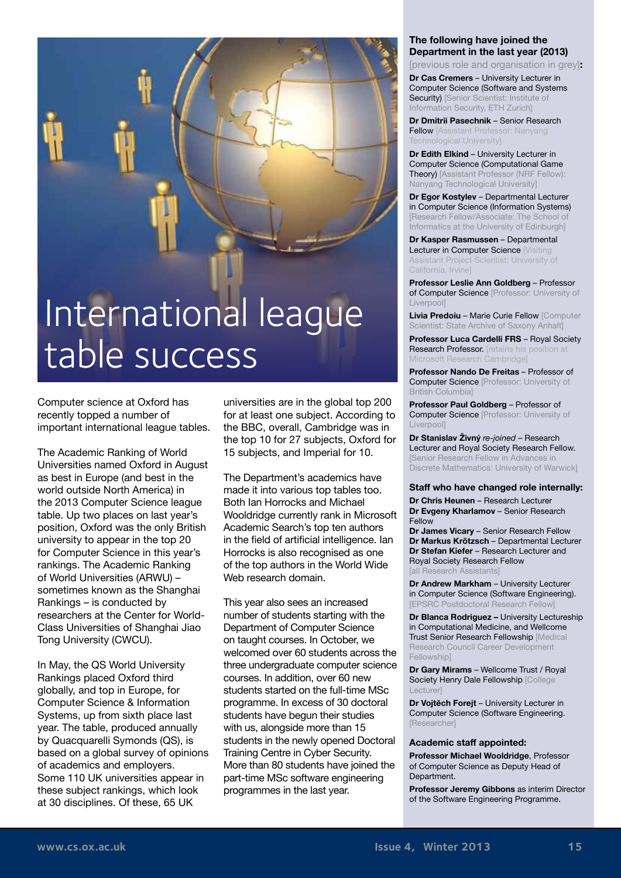# International league table success

Computer science at Oxford has recently topped a number of important international league tables.

The Academic Ranking of World Universities named Oxford in August as best in Europe (and best in the world outside North America) in the 2013 Computer Science league table. Up two places on last year's position, Oxford was the only British university to appear in the top 20 for Computer Science in this year's rankings. The Academic Ranking of World Universities (ARWU) – sometimes known as the Shanghai Rankings – is conducted by researchers at the Center for World-Class Universities of Shanghai Jiao Tong University (CWCU).

In May, the QS World University Rankings placed Oxford third globally, and top in Europe, for Computer Science & Information Systems, up from sixth place last year. The table, produced annually by Quacquarelli Symonds (QS), is based on a global survey of opinions of academics and employers. Some 110 UK universities appear in these subject rankings, which look at 30 disciplines. Of these, 65 UK

universities are in the global top 200 for at least one subject. According to the BBC, overall, Cambridge was in the top 10 for 27 subjects, Oxford for 15 subjects, and Imperial for 10.

The Department's academics have made it into various top tables too. Both Ian Horrocks and Michael Wooldridge currently rank in Microsoft Academic Search's top ten authors in the field of artificial intelligence. Ian Horrocks is also recognised as one of the top authors in the World Wide Web research domain.

This year also sees an increased number of students starting with the Department of Computer Science on taught courses. In October, we welcomed over 60 students across the three undergraduate computer science courses. In addition, over 60 new students started on the full-time MSc programme. In excess of 30 doctoral students have begun their studies with us, alongside more than 15 students in the newly opened Doctoral Training Centre in Cyber Security. More than 80 students have joined the part-time MSc software engineering programmes in the last year.

#### **The following have joined the Department in the last year (2013)**

[previous role and organisation in grey]**:**

**Dr Cas Cremers** – University Lecturer in Computer Science (Software and Systems Security) [Senior Scientist: Institute of Information Security, ETH Zurich]

**Dr Dmitrii Pasechnik** – Senior Research **Fellow** [Assistant Professor: Nanyang Technological University]

**Dr Edith Elkind** – University Lecturer in Computer Science (Computational Game Theory) [Assistant Professor (NRF Fellow): Nanyang Technological University]

**Dr Egor Kostylev** – Departmental Lecturer in Computer Science (Information Systems) [Research Fellow/Associate: The School of Informatics at the University of Edinburgh]

**Dr Kasper Rasmussen** – Departmental Lecturer in Computer Science Nisiting Assistant Project Scientist: University of California, Irvine]

**Professor Leslie Ann Goldberg** – Professor of Computer Science [Professor: University of Liverpool]

**Livia Predoiu** – Marie Curie Fellow [Computer Scientist: State Archive of Saxony Anhalt]

**Professor Luca Cardelli FRS** – Royal Society Research Professor. [retains his position at Microsoft Research Cambridge]

**Professor Nando De Freitas** – Professor of **Computer Science [Professor: University of** British Columbia]

**Professor Paul Goldberg** – Professor of **Computer Science [Professor: University of Liverpool** 

**Dr Stanislav Živný** *re-joined* – Research Lecturer and Royal Society Research Fellow. [Senior Research Fellow in Advances in Discrete Mathematics: University of Warwick]

#### **Staff who have changed role internally:**

**Dr Chris Heunen** – Research Lecturer **Dr Evgeny Kharlamov** – Senior Research Fellow

**Dr James Vicary** – Senior Research Fellow **Dr Markus Krötzsch** – Departmental Lecturer **Dr Stefan Kiefer** – Research Lecturer and Royal Society Research Fellow [all Research Assistants]

**Dr Andrew Markham** – University Lecturer in Computer Science (Software Engineering). [EPSRC Postdoctoral Research Fellow]

**Dr Blanca Rodriguez –** University Lectureship in Computational Medicine, and Wellcome Trust Senior Research Fellowship [Medical Research Council Career Development **Fellowshipl** 

**Dr Gary Mirams** – Wellcome Trust / Royal Society Henry Dale Fellowship [College Lecturer]

**Dr Vojtĕch Forejt** – University Lecturer in Computer Science (Software Engineering. [Researcher]

#### **Academic staff appointed:**

**Professor Michael Wooldridge**, Professor of Computer Science as Deputy Head of Department.

**Professor Jeremy Gibbons** as interim Director of the Software Engineering Programme.